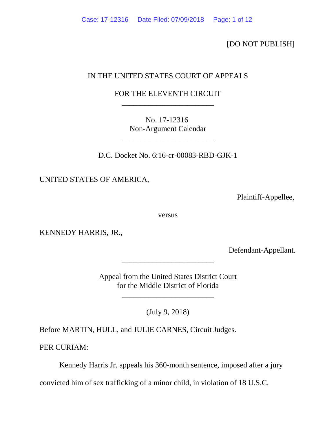[DO NOT PUBLISH]

# IN THE UNITED STATES COURT OF APPEALS

# FOR THE ELEVENTH CIRCUIT \_\_\_\_\_\_\_\_\_\_\_\_\_\_\_\_\_\_\_\_\_\_\_\_

No. 17-12316 Non-Argument Calendar

\_\_\_\_\_\_\_\_\_\_\_\_\_\_\_\_\_\_\_\_\_\_\_\_

D.C. Docket No. 6:16-cr-00083-RBD-GJK-1

UNITED STATES OF AMERICA,

Plaintiff-Appellee,

versus

KENNEDY HARRIS, JR.,

Defendant-Appellant.

Appeal from the United States District Court for the Middle District of Florida

\_\_\_\_\_\_\_\_\_\_\_\_\_\_\_\_\_\_\_\_\_\_\_\_

\_\_\_\_\_\_\_\_\_\_\_\_\_\_\_\_\_\_\_\_\_\_\_\_

(July 9, 2018)

Before MARTIN, HULL, and JULIE CARNES, Circuit Judges.

PER CURIAM:

Kennedy Harris Jr. appeals his 360-month sentence, imposed after a jury

convicted him of sex trafficking of a minor child, in violation of 18 U.S.C.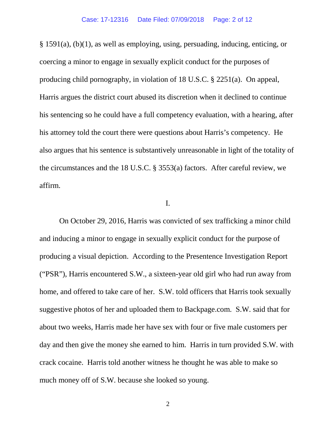§ 1591(a), (b)(1), as well as employing, using, persuading, inducing, enticing, or coercing a minor to engage in sexually explicit conduct for the purposes of producing child pornography, in violation of 18 U.S.C. § 2251(a). On appeal, Harris argues the district court abused its discretion when it declined to continue his sentencing so he could have a full competency evaluation, with a hearing, after his attorney told the court there were questions about Harris's competency. He also argues that his sentence is substantively unreasonable in light of the totality of the circumstances and the 18 U.S.C. § 3553(a) factors. After careful review, we affirm.

## I.

On October 29, 2016, Harris was convicted of sex trafficking a minor child and inducing a minor to engage in sexually explicit conduct for the purpose of producing a visual depiction. According to the Presentence Investigation Report ("PSR"), Harris encountered S.W., a sixteen-year old girl who had run away from home, and offered to take care of her. S.W. told officers that Harris took sexually suggestive photos of her and uploaded them to Backpage.com. S.W. said that for about two weeks, Harris made her have sex with four or five male customers per day and then give the money she earned to him. Harris in turn provided S.W. with crack cocaine. Harris told another witness he thought he was able to make so much money off of S.W. because she looked so young.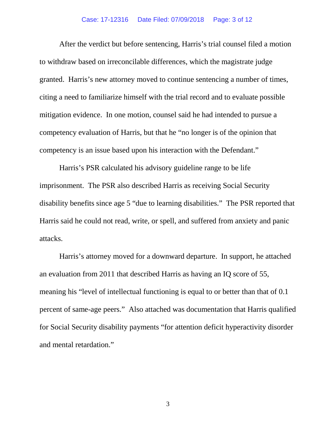#### Case: 17-12316 Date Filed: 07/09/2018 Page: 3 of 12

After the verdict but before sentencing, Harris's trial counsel filed a motion to withdraw based on irreconcilable differences, which the magistrate judge granted. Harris's new attorney moved to continue sentencing a number of times, citing a need to familiarize himself with the trial record and to evaluate possible mitigation evidence. In one motion, counsel said he had intended to pursue a competency evaluation of Harris, but that he "no longer is of the opinion that competency is an issue based upon his interaction with the Defendant."

Harris's PSR calculated his advisory guideline range to be life imprisonment. The PSR also described Harris as receiving Social Security disability benefits since age 5 "due to learning disabilities." The PSR reported that Harris said he could not read, write, or spell, and suffered from anxiety and panic attacks.

Harris's attorney moved for a downward departure. In support, he attached an evaluation from 2011 that described Harris as having an IQ score of 55, meaning his "level of intellectual functioning is equal to or better than that of 0.1 percent of same-age peers." Also attached was documentation that Harris qualified for Social Security disability payments "for attention deficit hyperactivity disorder and mental retardation."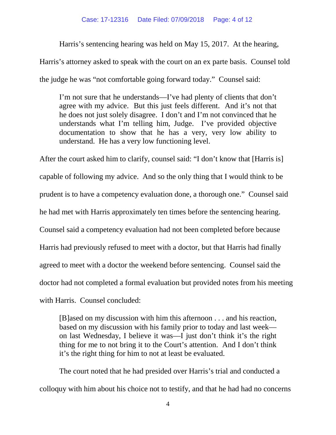Harris's sentencing hearing was held on May 15, 2017. At the hearing,

Harris's attorney asked to speak with the court on an ex parte basis. Counsel told

the judge he was "not comfortable going forward today." Counsel said:

I'm not sure that he understands—I've had plenty of clients that don't agree with my advice. But this just feels different. And it's not that he does not just solely disagree. I don't and I'm not convinced that he understands what I'm telling him, Judge. I've provided objective documentation to show that he has a very, very low ability to understand. He has a very low functioning level.

After the court asked him to clarify, counsel said: "I don't know that [Harris is] capable of following my advice. And so the only thing that I would think to be prudent is to have a competency evaluation done, a thorough one." Counsel said he had met with Harris approximately ten times before the sentencing hearing. Counsel said a competency evaluation had not been completed before because Harris had previously refused to meet with a doctor, but that Harris had finally agreed to meet with a doctor the weekend before sentencing. Counsel said the doctor had not completed a formal evaluation but provided notes from his meeting with Harris. Counsel concluded:

[B]ased on my discussion with him this afternoon . . . and his reaction, based on my discussion with his family prior to today and last week on last Wednesday, I believe it was—I just don't think it's the right thing for me to not bring it to the Court's attention. And I don't think it's the right thing for him to not at least be evaluated.

The court noted that he had presided over Harris's trial and conducted a colloquy with him about his choice not to testify, and that he had had no concerns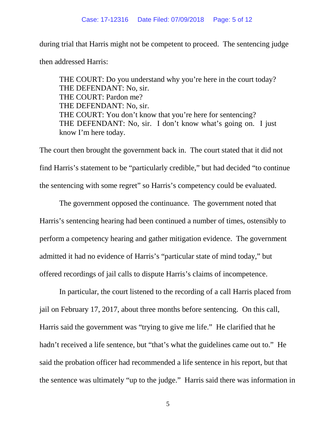during trial that Harris might not be competent to proceed. The sentencing judge then addressed Harris:

THE COURT: Do you understand why you're here in the court today? THE DEFENDANT: No, sir. THE COURT: Pardon me? THE DEFENDANT: No, sir. THE COURT: You don't know that you're here for sentencing? THE DEFENDANT: No, sir. I don't know what's going on. I just know I'm here today.

The court then brought the government back in. The court stated that it did not find Harris's statement to be "particularly credible," but had decided "to continue the sentencing with some regret" so Harris's competency could be evaluated.

The government opposed the continuance. The government noted that Harris's sentencing hearing had been continued a number of times, ostensibly to perform a competency hearing and gather mitigation evidence. The government admitted it had no evidence of Harris's "particular state of mind today," but offered recordings of jail calls to dispute Harris's claims of incompetence.

In particular, the court listened to the recording of a call Harris placed from jail on February 17, 2017, about three months before sentencing. On this call, Harris said the government was "trying to give me life." He clarified that he hadn't received a life sentence, but "that's what the guidelines came out to." He said the probation officer had recommended a life sentence in his report, but that the sentence was ultimately "up to the judge." Harris said there was information in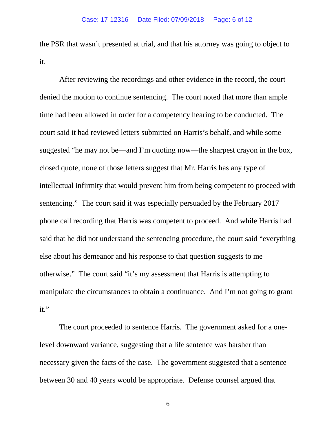the PSR that wasn't presented at trial, and that his attorney was going to object to it.

After reviewing the recordings and other evidence in the record, the court denied the motion to continue sentencing. The court noted that more than ample time had been allowed in order for a competency hearing to be conducted. The court said it had reviewed letters submitted on Harris's behalf, and while some suggested "he may not be—and I'm quoting now—the sharpest crayon in the box, closed quote, none of those letters suggest that Mr. Harris has any type of intellectual infirmity that would prevent him from being competent to proceed with sentencing." The court said it was especially persuaded by the February 2017 phone call recording that Harris was competent to proceed. And while Harris had said that he did not understand the sentencing procedure, the court said "everything else about his demeanor and his response to that question suggests to me otherwise." The court said "it's my assessment that Harris is attempting to manipulate the circumstances to obtain a continuance. And I'm not going to grant it."

The court proceeded to sentence Harris. The government asked for a onelevel downward variance, suggesting that a life sentence was harsher than necessary given the facts of the case. The government suggested that a sentence between 30 and 40 years would be appropriate. Defense counsel argued that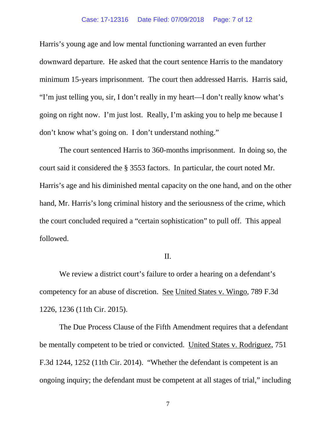#### Case: 17-12316 Date Filed: 07/09/2018 Page: 7 of 12

Harris's young age and low mental functioning warranted an even further downward departure. He asked that the court sentence Harris to the mandatory minimum 15-years imprisonment. The court then addressed Harris. Harris said, "I'm just telling you, sir, I don't really in my heart—I don't really know what's going on right now. I'm just lost. Really, I'm asking you to help me because I don't know what's going on. I don't understand nothing."

The court sentenced Harris to 360-months imprisonment. In doing so, the court said it considered the § 3553 factors. In particular, the court noted Mr. Harris's age and his diminished mental capacity on the one hand, and on the other hand, Mr. Harris's long criminal history and the seriousness of the crime, which the court concluded required a "certain sophistication" to pull off. This appeal followed.

## II.

We review a district court's failure to order a hearing on a defendant's competency for an abuse of discretion. See United States v. Wingo, 789 F.3d 1226, 1236 (11th Cir. 2015).

The Due Process Clause of the Fifth Amendment requires that a defendant be mentally competent to be tried or convicted. United States v. Rodriguez, 751 F.3d 1244, 1252 (11th Cir. 2014). "Whether the defendant is competent is an ongoing inquiry; the defendant must be competent at all stages of trial," including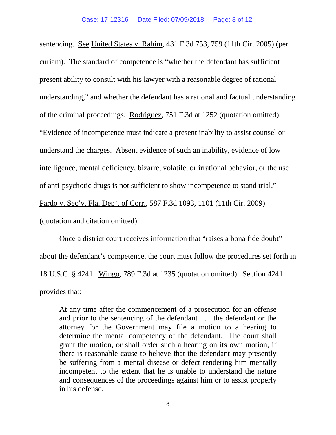sentencing. See United States v. Rahim, 431 F.3d 753, 759 (11th Cir. 2005) (per curiam). The standard of competence is "whether the defendant has sufficient present ability to consult with his lawyer with a reasonable degree of rational understanding," and whether the defendant has a rational and factual understanding of the criminal proceedings. Rodriguez, 751 F.3d at 1252 (quotation omitted). "Evidence of incompetence must indicate a present inability to assist counsel or understand the charges. Absent evidence of such an inability, evidence of low intelligence, mental deficiency, bizarre, volatile, or irrational behavior, or the use of anti-psychotic drugs is not sufficient to show incompetence to stand trial." Pardo v. Sec'y, Fla. Dep't of Corr., 587 F.3d 1093, 1101 (11th Cir. 2009) (quotation and citation omitted).

Once a district court receives information that "raises a bona fide doubt" about the defendant's competence, the court must follow the procedures set forth in 18 U.S.C. § 4241. Wingo, 789 F.3d at 1235 (quotation omitted). Section 4241 provides that:

At any time after the commencement of a prosecution for an offense and prior to the sentencing of the defendant . . . the defendant or the attorney for the Government may file a motion to a hearing to determine the mental competency of the defendant. The court shall grant the motion, or shall order such a hearing on its own motion, if there is reasonable cause to believe that the defendant may presently be suffering from a mental disease or defect rendering him mentally incompetent to the extent that he is unable to understand the nature and consequences of the proceedings against him or to assist properly in his defense.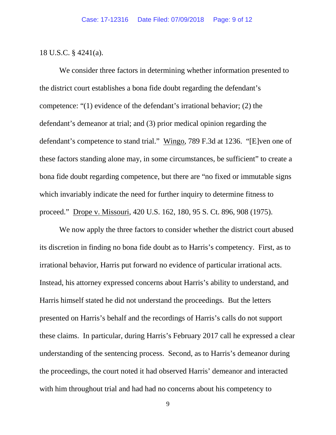### 18 U.S.C. § 4241(a).

We consider three factors in determining whether information presented to the district court establishes a bona fide doubt regarding the defendant's competence: "(1) evidence of the defendant's irrational behavior; (2) the defendant's demeanor at trial; and (3) prior medical opinion regarding the defendant's competence to stand trial." Wingo, 789 F.3d at 1236. "[E]ven one of these factors standing alone may, in some circumstances, be sufficient" to create a bona fide doubt regarding competence, but there are "no fixed or immutable signs which invariably indicate the need for further inquiry to determine fitness to proceed." Drope v. Missouri, 420 U.S. 162, 180, 95 S. Ct. 896, 908 (1975).

We now apply the three factors to consider whether the district court abused its discretion in finding no bona fide doubt as to Harris's competency. First, as to irrational behavior, Harris put forward no evidence of particular irrational acts. Instead, his attorney expressed concerns about Harris's ability to understand, and Harris himself stated he did not understand the proceedings. But the letters presented on Harris's behalf and the recordings of Harris's calls do not support these claims. In particular, during Harris's February 2017 call he expressed a clear understanding of the sentencing process. Second, as to Harris's demeanor during the proceedings, the court noted it had observed Harris' demeanor and interacted with him throughout trial and had had no concerns about his competency to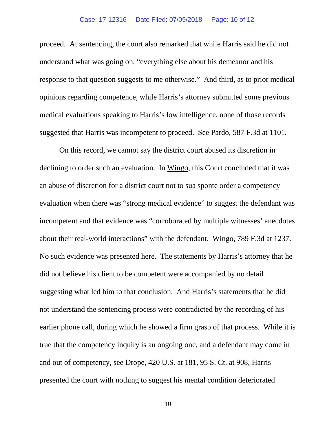proceed. At sentencing, the court also remarked that while Harris said he did not understand what was going on, "everything else about his demeanor and his response to that question suggests to me otherwise." And third, as to prior medical opinions regarding competence, while Harris's attorney submitted some previous medical evaluations speaking to Harris's low intelligence, none of those records suggested that Harris was incompetent to proceed. See Pardo, 587 F.3d at 1101.

On this record, we cannot say the district court abused its discretion in declining to order such an evaluation. In Wingo, this Court concluded that it was an abuse of discretion for a district court not to sua sponte order a competency evaluation when there was "strong medical evidence" to suggest the defendant was incompetent and that evidence was "corroborated by multiple witnesses' anecdotes about their real-world interactions" with the defendant. Wingo, 789 F.3d at 1237. No such evidence was presented here. The statements by Harris's attorney that he did not believe his client to be competent were accompanied by no detail suggesting what led him to that conclusion. And Harris's statements that he did not understand the sentencing process were contradicted by the recording of his earlier phone call, during which he showed a firm grasp of that process. While it is true that the competency inquiry is an ongoing one, and a defendant may come in and out of competency, see Drope, 420 U.S. at 181, 95 S. Ct. at 908, Harris presented the court with nothing to suggest his mental condition deteriorated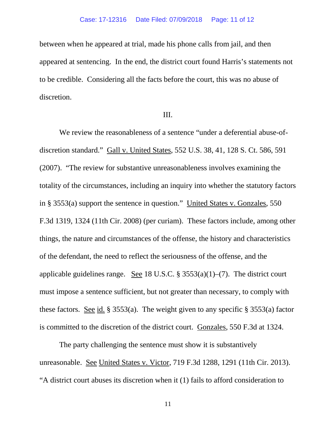between when he appeared at trial, made his phone calls from jail, and then appeared at sentencing. In the end, the district court found Harris's statements not to be credible. Considering all the facts before the court, this was no abuse of discretion.

#### III.

We review the reasonableness of a sentence "under a deferential abuse-ofdiscretion standard." Gall v. United States, 552 U.S. 38, 41, 128 S. Ct. 586, 591 (2007). "The review for substantive unreasonableness involves examining the totality of the circumstances, including an inquiry into whether the statutory factors in § 3553(a) support the sentence in question." United States v. Gonzales, 550 F.3d 1319, 1324 (11th Cir. 2008) (per curiam). These factors include, among other things, the nature and circumstances of the offense, the history and characteristics of the defendant, the need to reflect the seriousness of the offense, and the applicable guidelines range. See 18 U.S.C.  $\S 3553(a)(1)$ –(7). The district court must impose a sentence sufficient, but not greater than necessary, to comply with these factors. See id. § 3553(a). The weight given to any specific § 3553(a) factor is committed to the discretion of the district court. Gonzales, 550 F.3d at 1324.

The party challenging the sentence must show it is substantively unreasonable. See United States v. Victor, 719 F.3d 1288, 1291 (11th Cir. 2013). "A district court abuses its discretion when it (1) fails to afford consideration to